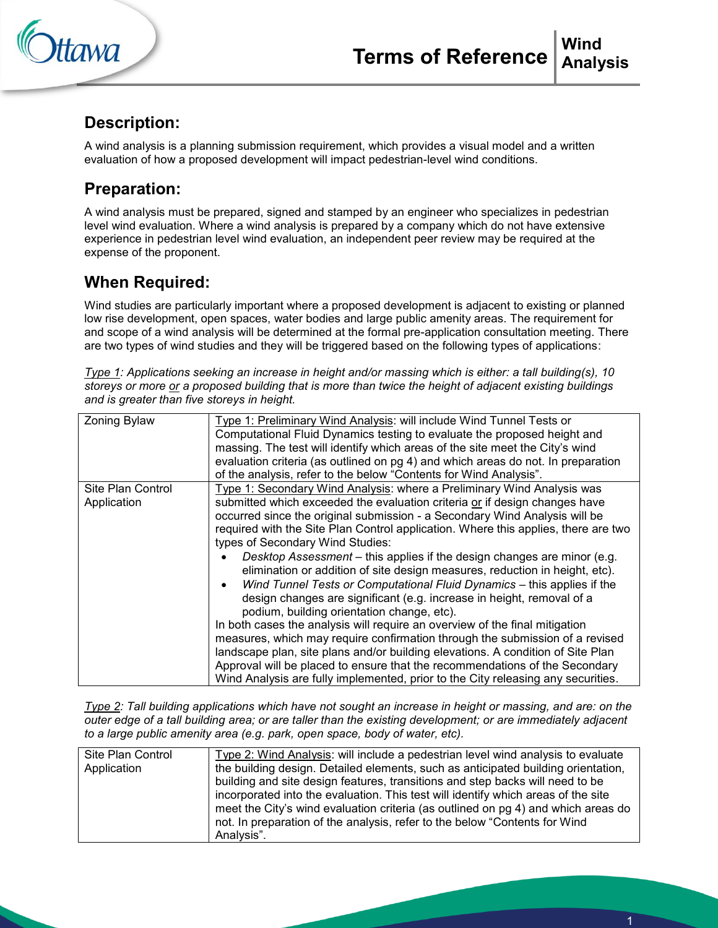



## **Description:**

A wind analysis is a planning submission requirement, which provides a visual model and a written evaluation of how a proposed development will impact pedestrian-level wind conditions.

# **Preparation:**

A wind analysis must be prepared, signed and stamped by an engineer who specializes in pedestrian level wind evaluation. Where a wind analysis is prepared by a company which do not have extensive experience in pedestrian level wind evaluation, an independent peer review may be required at the expense of the proponent.

# **When Required:**

Wind studies are particularly important where a proposed development is adjacent to existing or planned low rise development, open spaces, water bodies and large public amenity areas. The requirement for and scope of a wind analysis will be determined at the formal pre-application consultation meeting. There are two types of wind studies and they will be triggered based on the following types of applications:

*Type 1: Applications seeking an increase in height and/or massing which is either: a tall building(s), 10 storeys or more or a proposed building that is more than twice the height of adjacent existing buildings and is greater than five storeys in height.* 

| Zoning Bylaw                     | Type 1: Preliminary Wind Analysis: will include Wind Tunnel Tests or<br>Computational Fluid Dynamics testing to evaluate the proposed height and<br>massing. The test will identify which areas of the site meet the City's wind<br>evaluation criteria (as outlined on pg 4) and which areas do not. In preparation<br>of the analysis, refer to the below "Contents for Wind Analysis".                                                                                                                                                                                                                                                                                                                                                                                                                                                                                                                                                                                                                                                                                                                                                     |
|----------------------------------|-----------------------------------------------------------------------------------------------------------------------------------------------------------------------------------------------------------------------------------------------------------------------------------------------------------------------------------------------------------------------------------------------------------------------------------------------------------------------------------------------------------------------------------------------------------------------------------------------------------------------------------------------------------------------------------------------------------------------------------------------------------------------------------------------------------------------------------------------------------------------------------------------------------------------------------------------------------------------------------------------------------------------------------------------------------------------------------------------------------------------------------------------|
| Site Plan Control<br>Application | Type 1: Secondary Wind Analysis: where a Preliminary Wind Analysis was<br>submitted which exceeded the evaluation criteria or if design changes have<br>occurred since the original submission - a Secondary Wind Analysis will be<br>required with the Site Plan Control application. Where this applies, there are two<br>types of Secondary Wind Studies:<br>Desktop Assessment – this applies if the design changes are minor (e.g.<br>elimination or addition of site design measures, reduction in height, etc).<br>Wind Tunnel Tests or Computational Fluid Dynamics - this applies if the<br>design changes are significant (e.g. increase in height, removal of a<br>podium, building orientation change, etc).<br>In both cases the analysis will require an overview of the final mitigation<br>measures, which may require confirmation through the submission of a revised<br>landscape plan, site plans and/or building elevations. A condition of Site Plan<br>Approval will be placed to ensure that the recommendations of the Secondary<br>Wind Analysis are fully implemented, prior to the City releasing any securities. |

*Type 2: Tall building applications which have not sought an increase in height or massing, and are: on the outer edge of a tall building area; or are taller than the existing development; or are immediately adjacent to a large public amenity area (e.g. park, open space, body of water, etc).* 

| Site Plan Control<br>Application | Type 2: Wind Analysis: will include a pedestrian level wind analysis to evaluate<br>the building design. Detailed elements, such as anticipated building orientation,<br>building and site design features, transitions and step backs will need to be<br>incorporated into the evaluation. This test will identify which areas of the site<br>meet the City's wind evaluation criteria (as outlined on pg 4) and which areas do<br>not. In preparation of the analysis, refer to the below "Contents for Wind<br>Analysis". |
|----------------------------------|------------------------------------------------------------------------------------------------------------------------------------------------------------------------------------------------------------------------------------------------------------------------------------------------------------------------------------------------------------------------------------------------------------------------------------------------------------------------------------------------------------------------------|
|                                  |                                                                                                                                                                                                                                                                                                                                                                                                                                                                                                                              |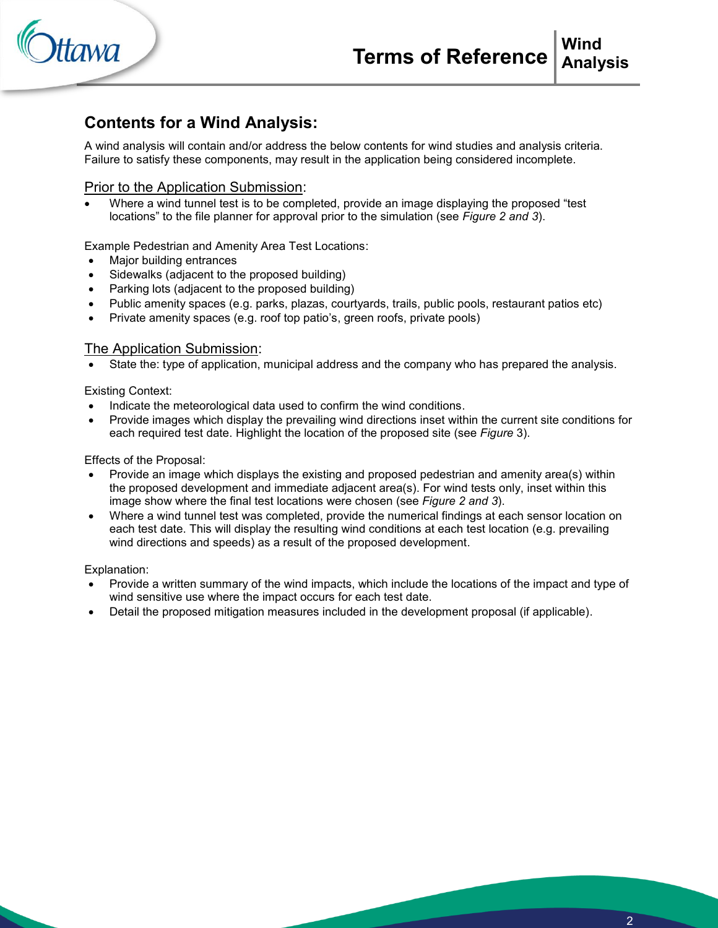

## **Contents for a Wind Analysis:**

A wind analysis will contain and/or address the below contents for wind studies and analysis criteria. Failure to satisfy these components, may result in the application being considered incomplete.

#### Prior to the Application Submission:

 Where a wind tunnel test is to be completed, provide an image displaying the proposed "test locations" to the file planner for approval prior to the simulation (see *Figure 2 and 3*).

Example Pedestrian and Amenity Area Test Locations:

- Major building entrances
- Sidewalks (adjacent to the proposed building)
- Parking lots (adjacent to the proposed building)
- Public amenity spaces (e.g. parks, plazas, courtyards, trails, public pools, restaurant patios etc)
- Private amenity spaces (e.g. roof top patio's, green roofs, private pools)

#### The Application Submission:

State the: type of application, municipal address and the company who has prepared the analysis.

Existing Context:

- Indicate the meteorological data used to confirm the wind conditions.
- Provide images which display the prevailing wind directions inset within the current site conditions for each required test date. Highlight the location of the proposed site (see *Figure* 3).

Effects of the Proposal:

- Provide an image which displays the existing and proposed pedestrian and amenity area(s) within the proposed development and immediate adjacent area(s). For wind tests only, inset within this image show where the final test locations were chosen (see *Figure 2 and 3*).
- Where a wind tunnel test was completed, provide the numerical findings at each sensor location on each test date. This will display the resulting wind conditions at each test location (e.g. prevailing wind directions and speeds) as a result of the proposed development.

Explanation:

- Provide a written summary of the wind impacts, which include the locations of the impact and type of wind sensitive use where the impact occurs for each test date.
- Detail the proposed mitigation measures included in the development proposal (if applicable).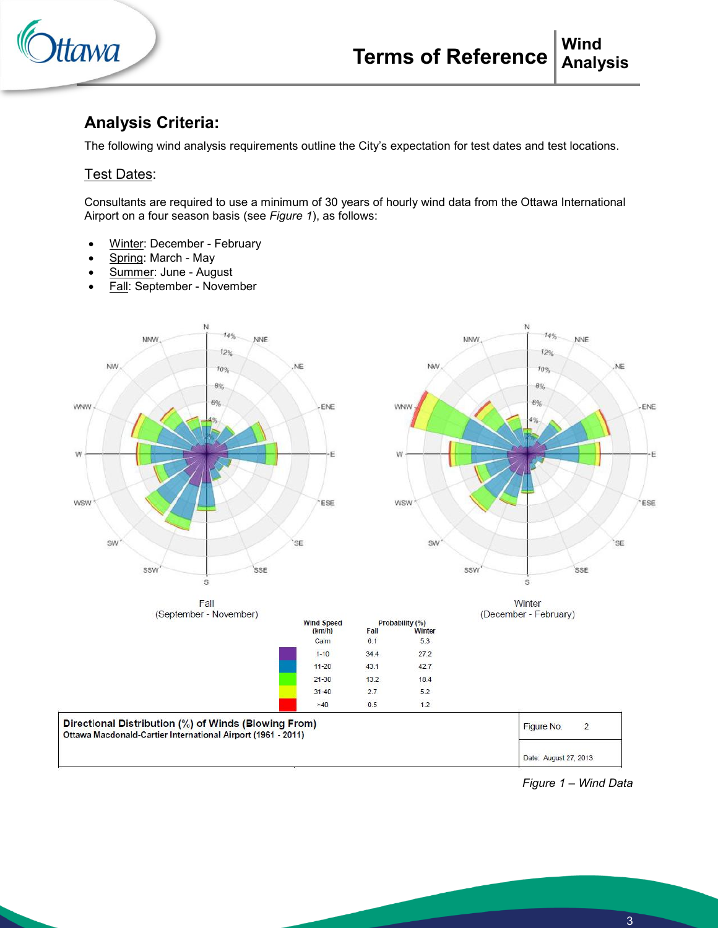

## **Analysis Criteria:**

The following wind analysis requirements outline the City's expectation for test dates and test locations.

#### Test Dates:

Consultants are required to use a minimum of 30 years of hourly wind data from the Ottawa International Airport on a four season basis (see *Figure 1*), as follows:

- Winter: December February
- Spring: March May
- Summer: June August
- Fall: September November

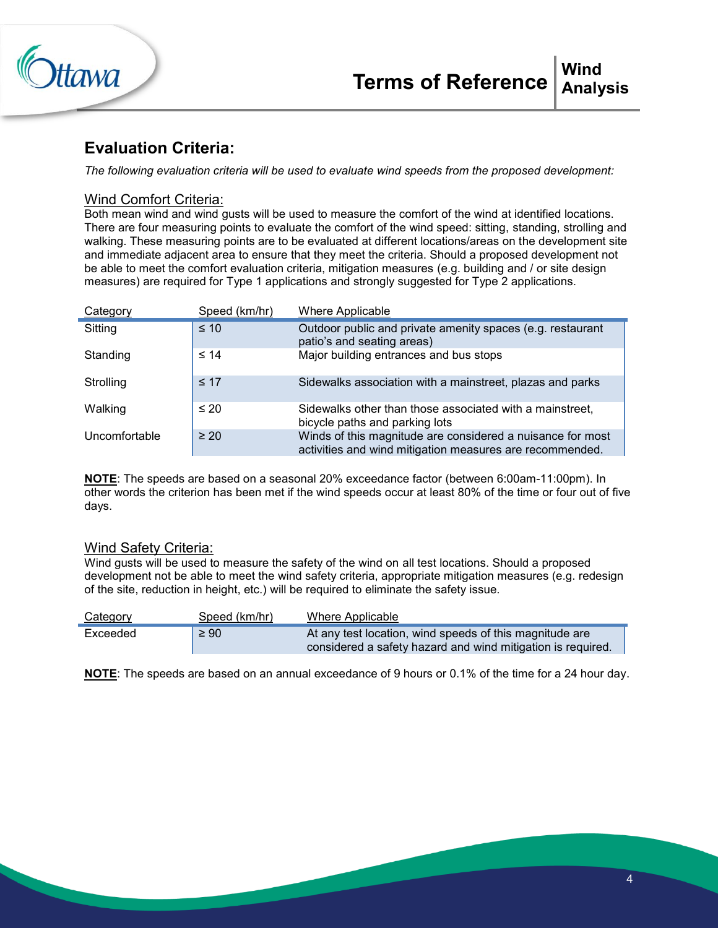

## **Evaluation Criteria:**

*The following evaluation criteria will be used to evaluate wind speeds from the proposed development:* 

#### Wind Comfort Criteria:

Both mean wind and wind gusts will be used to measure the comfort of the wind at identified locations. There are four measuring points to evaluate the comfort of the wind speed: sitting, standing, strolling and walking. These measuring points are to be evaluated at different locations/areas on the development site and immediate adjacent area to ensure that they meet the criteria. Should a proposed development not be able to meet the comfort evaluation criteria, mitigation measures (e.g. building and / or site design measures) are required for Type 1 applications and strongly suggested for Type 2 applications.

| Category      | Speed (km/hr) | <b>Where Applicable</b>                                                                                                |
|---------------|---------------|------------------------------------------------------------------------------------------------------------------------|
| Sitting       | $\leq 10$     | Outdoor public and private amenity spaces (e.g. restaurant<br>patio's and seating areas)                               |
| Standing      | $\leq 14$     | Major building entrances and bus stops                                                                                 |
| Strolling     | $\leq 17$     | Sidewalks association with a mainstreet, plazas and parks                                                              |
| Walking       | $\leq 20$     | Sidewalks other than those associated with a mainstreet,<br>bicycle paths and parking lots                             |
| Uncomfortable | $\geq 20$     | Winds of this magnitude are considered a nuisance for most<br>activities and wind mitigation measures are recommended. |

**NOTE**: The speeds are based on a seasonal 20% exceedance factor (between 6:00am-11:00pm). In other words the criterion has been met if the wind speeds occur at least 80% of the time or four out of five days.

#### Wind Safety Criteria:

Wind gusts will be used to measure the safety of the wind on all test locations. Should a proposed development not be able to meet the wind safety criteria, appropriate mitigation measures (e.g. redesign of the site, reduction in height, etc.) will be required to eliminate the safety issue.

| Category | Speed (km/hr) | Where Applicable                                            |
|----------|---------------|-------------------------------------------------------------|
| Exceeded | $\geq 90$     | At any test location, wind speeds of this magnitude are     |
|          |               | considered a safety hazard and wind mitigation is required. |

**NOTE**: The speeds are based on an annual exceedance of 9 hours or 0.1% of the time for a 24 hour day.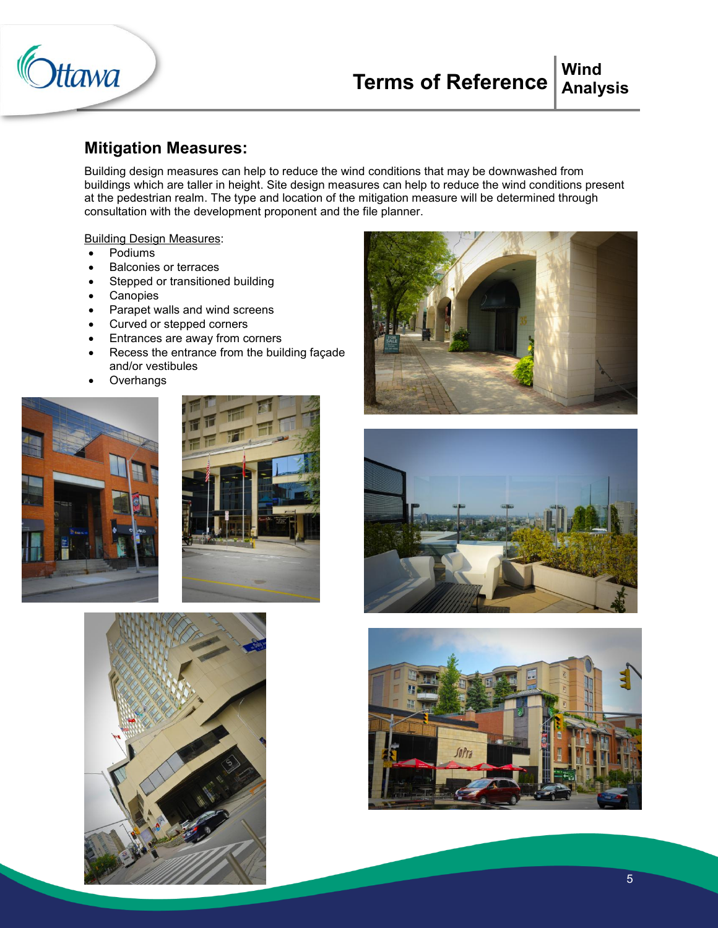

#### **Terms of Reference Wind Analysis**

#### **Mitigation Measures:**

Building design measures can help to reduce the wind conditions that may be downwashed from buildings which are taller in height. Site design measures can help to reduce the wind conditions present at the pedestrian realm. The type and location of the mitigation measure will be determined through consultation with the development proponent and the file planner.

Building Design Measures:

- Podiums
- Balconies or terraces
- Stepped or transitioned building
- Canopies
- Parapet walls and wind screens
- Curved or stepped corners
- Entrances are away from corners
- Recess the entrance from the building façade and/or vestibules
- **Overhangs**











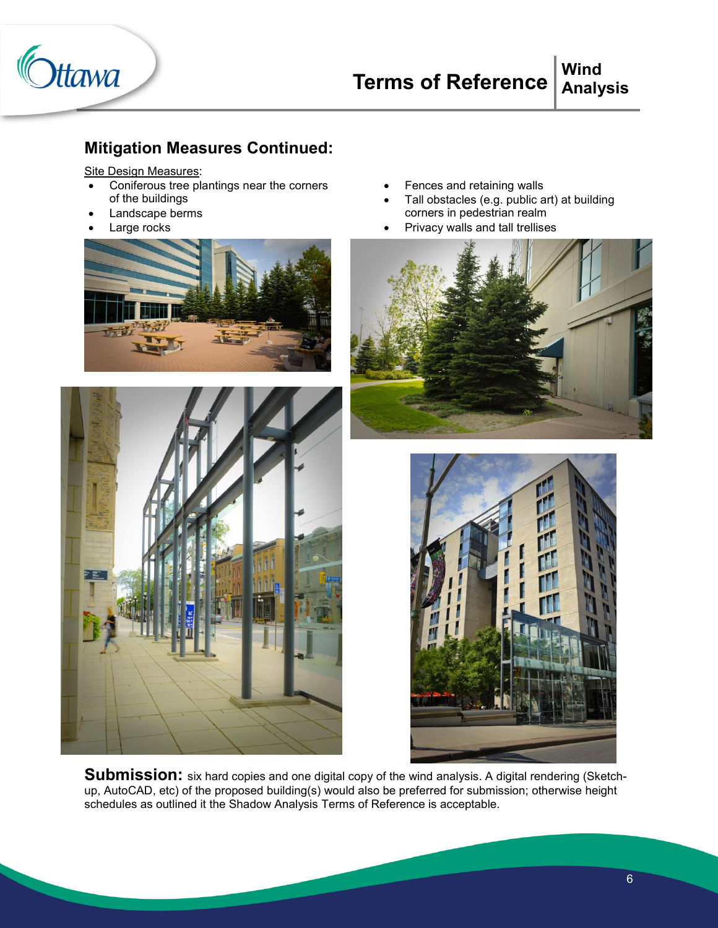

### **Mitigation Measures Continued:**

#### Site Design Measures:

- Coniferous tree plantings near the corners of the buildings
- Landscape berms
- Large rocks





- Fences and retaining walls
- Tall obstacles (e.g. public art) at building corners in pedestrian realm
- Privacy walls and tall trellises





Submission: six hard copies and one digital copy of the wind analysis. A digital rendering (Sketchup, AutoCAD, etc) of the proposed building(s) would also be preferred for submission; otherwise height schedules as outlined it the Shadow Analysis Terms of Reference is acceptable.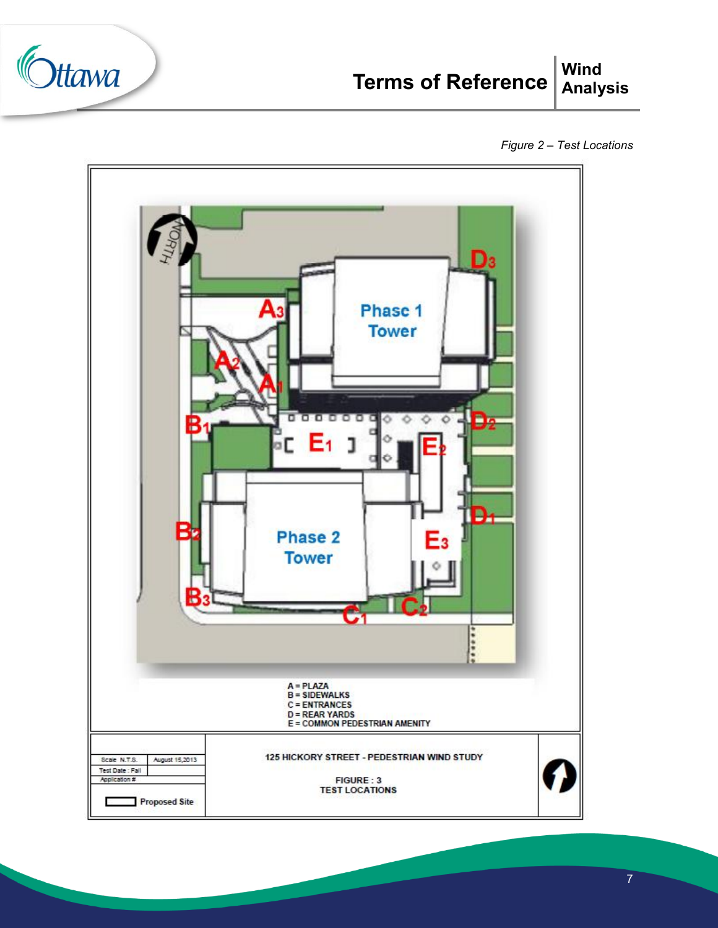